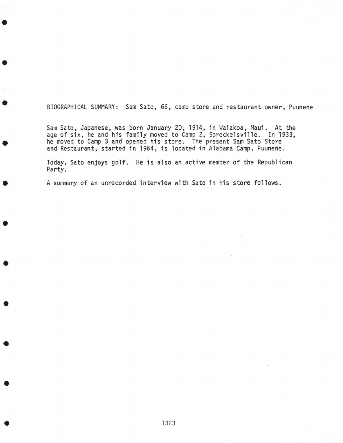BIOGRAPHICAL SUMMARY: Sam Sato, 66, camp store and restaurant owner, Puunene

Sam Sato, Japanese, was born January 20, 1914, in Waiakoa, Maui. At the age of six, he and his family moved to Camp 2, Spreckelsville. In 1933, he moved to Camp 3 and opened his store. The present Sam Sato Store and Restaurant, started in 1964, is located in Alabama Camp, Puunene.

•

•

•

•

•

•

•

•

•

•

•

Today, Sato enjoys golf. He is also an active member of the Republican Party.

A summary of an unrecorded interview with Sato in his store follows.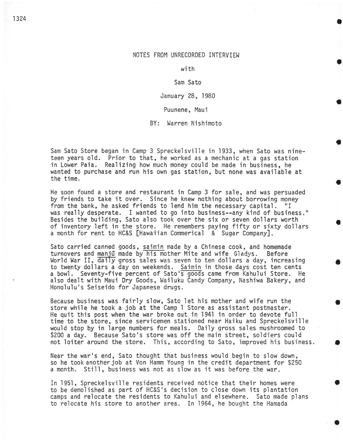### NOTES FROM UNRECORDED INTERVIEW

•

•

•

•

•

•

•

•

•

•

with

#### Sam Sato

#### January 28, 1980

Puunene, Maui

BY: Warren Nishimoto

Sam Sato Store began in Camp 3 Spreckelsville in 1933, when Sato was nineteen years old. Prior to that, he worked as a mechanic at a gas station in Lower Paia. Realizing how much money could be made in business, he wanted to purchase and run his own gas station, but none was available at the time.

He soon found a store and restaurant in Camp 3 for sale, and was persuaded by friends to take it over. Since he knew nothing about borrowing money from the bank, he asked friends to lend him the necessary capital. "I from the bank, he asked friends to lend him the necessary capital. was really desperate. I wanted to go into business--any kind of business." Besides the building, Sato also took over the six or seven dollars worth of inventory left in the store. He remembers paying fifty or sixty dollars a month for rent to HC&S [Hawaiian Commerical & Sugar Company].

Sato carried canned goods, saimin made by a Chinese cook, and homemade turnovers and manju made by his mother Mite and wife Gladys. Before World War II, daily gross sales was seven to ten dollars a day, increasing to twenty dollars a day on weekends. Saimin in those days cost ten cents a bowl. Seventy-five percent of Sato's goods came from Kahului Store. He also dealt with Maui Dry Goods, Wailuku Candy Company, Nashiwa Bakery, and Honolulu•s Seiseido for Japanese drugs.

Because business was fairly slow, Sato let his mother and wife run the store while he took a job at the Camp 1 Store as assistant postmaster. He quit this post when the war broke out in 1941 in order to devote full time to the store, since servicemen stationed near Haiku and Spreckelsville would stop by in large numbers for meals. Daily gross sales mushroomed to \$200 a day. Because Sato's store was off the main street, soldiers could not loiter around the store. This, according to Sato, improved his business.

Near the war's end, Sato thought that business would begin to slow down, so he tookanotherjob at Von Hamm Young in the credit department for \$250 a month. Still, business was not as slow as it was before the war.

In 1951, Spreckelsville residents received notice that their homes were to be demolished as part of HC&s•s decision to close down its plantation camps and relocate the residents to Kahului and elsewhere. Sato made plans to relocate his store to another area. In 1964, he bought the Hamada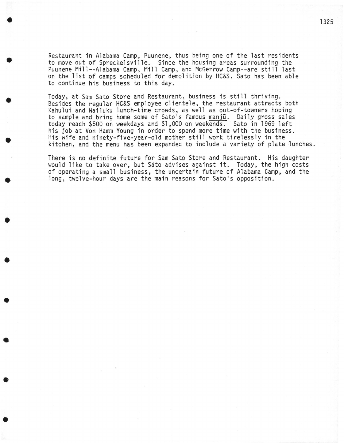Restaurant in Alabama Camp, Puunene, thus being one of the last residents to move out of Spreckelsville. Since the housing areas surrounding the Puunene Mill--Alabama Camp, Mill Camp, and McGerrow Camp--are still last on the list of camps scheduled for demolition by HC&S, Sato has been able to continue his business to this day.

•

•

•

•

•

•

•

•

•

•

•

Today, at Sam Sato Store and Restaurant, business is still thriving.<br>Besides the regular HC&S employee clientele, the restaurant attracts both Kahului and Wailuku lunch-time crowds, as well as out-of-towners hoping to sample and bring home some of Sato's famous manjū. Daily gross sales today reach \$500 on weekdays and \$1,000 on weekends. Sato in 1969 left his job at Von Hamm Young in order to spend more time with the business. His wife and ninety-five-year-old mother still work tirelessly in the kitchen, and the menu has been expanded to include a variety of plate lunches.

There is no definite future for Sam Sato Store and Restaurant. His daughter would like to take over, but Sato advises against it. Today, the high costs of operating a small business, the uncertain future of Alabama Camp, and the long, twelve-hour days are the main reasons for Sato's opposition.